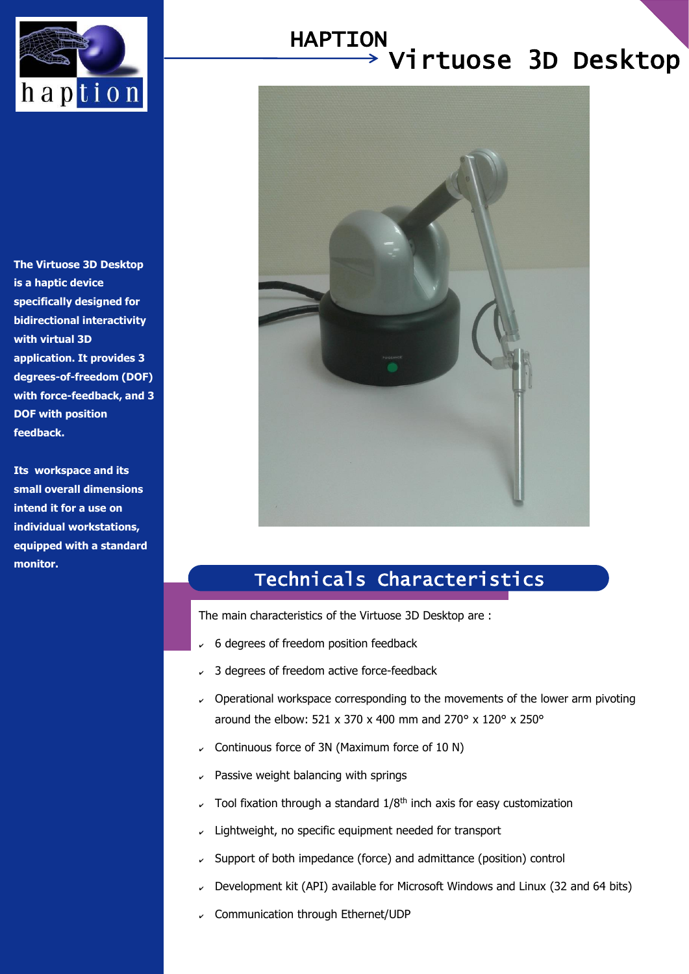

#### Virtuose 3D Desktop HAPTION

**The Virtuose 3D Desktop is a haptic device specifically designed for bidirectional interactivity with virtual 3D application. It provides 3 degrees-of-freedom (DOF) with force-feedback, and 3 DOF with position feedback.**

**Its workspace and its small overall dimensions intend it for a use on individual workstations, equipped with a standard monitor.**



## Technicals Characteristics

The main characteristics of the Virtuose 3D Desktop are :

- 6 degrees of freedom position feedback
- ✔ 3 degrees of freedom active force-feedback
- $\sim$  Operational workspace corresponding to the movements of the lower arm pivoting around the elbow: 521 x 370 x 400 mm and 270° x 120° x 250°
- $\sim$  Continuous force of 3N (Maximum force of 10 N)
- Passive weight balancing with springs
- Tool fixation through a standard 1/8<sup>th</sup> inch axis for easy customization
- $\sim$  Lightweight, no specific equipment needed for transport
- Support of both impedance (force) and admittance (position) control
- Development kit (API) available for Microsoft Windows and Linux (32 and 64 bits)
- Communication through Ethernet/UDP